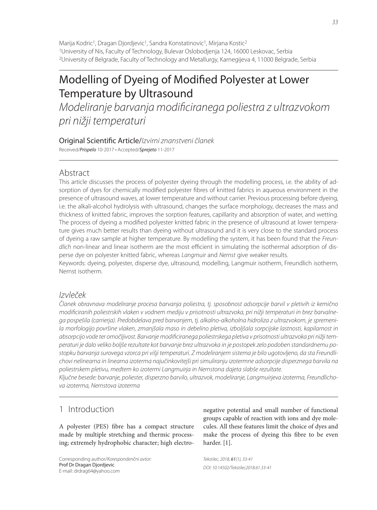Marija Kodric<sup>1</sup>, Dragan Djordjevic<sup>1</sup>, Sandra Konstatinovic<sup>1</sup>, Mirjana Kostic<sup>2</sup> 1University of Nis, Faculty of Technology, Bulevar Oslobodjenja 124, 16000 Leskovac, Serbia 2University of Belgrade, Faculty of Technology and Metallurgy, Karnegijeva 4, 11000 Belgrade, Serbia

# Modelling of Dyeing of Modified Polyester at Lower Temperature by Ultrasound

Modeliranje barvanja modificiranega poliestra z ultrazvokom pri nižji temperaturi

# Original Scientific Article/Izvirni znanstveni članek

Received/Prispelo 10-2017 • Accepted/Sprejeto 11-2017

# Abstract

This article discusses the process of polyester dyeing through the modelling process, i.e. the ability of adsorption of dyes for chemically modified polyester fibres of knitted fabrics in aqueous environment in the presence of ultrasound waves, at lower temperature and without carrier. Previous processing before dyeing, i.e. the alkali-alcohol hydrolysis with ultrasound, changes the surface morphology, decreases the mass and thickness of knitted fabric, improves the sorption features, capillarity and absorption of water, and wetting. The process of dyeing a modified polyester knitted fabric in the presence of ultrasound at lower temperature gives much better results than dyeing without ultrasound and it is very close to the standard process of dyeing a raw sample at higher temperature. By modelling the system, it has been found that the Freundlich non-linear and linear isotherm are the most efficient in simulating the isothermal adsorption of disperse dye on polyester knitted fabric, whereas Langmuir and Nernst give weaker results.

Keywords: dyeing, polyester, disperse dye, ultrasound, modelling, Langmuir isotherm, Freundlich isotherm, Nernst isotherm.

# Izvleček

Članek obravnava modeliranje procesa barvanja poliestra, tj. sposobnost adsorpcije barvil v pletivih iz kemično modificiranih poliestrskih vlaken v vodnem mediju v prisotnosti ultrazvoka, pri nižji temperaturi in brez barvalnega pospešila (carrierja). Predobdelava pred barvanjem, tj. alkalno-alkoholna hidroliza z ultrazvokom, je spremenila morfologijo površine vlaken, zmanjšala maso in debelino pletiva, izboljšala sorpcijske lastnosti, kapilarnost in absorpcijo vode ter omočljivost. Barvanje modificiranega poliestrskega pletiva v prisotnosti ultrazvoka pri nižji temperaturi je dalo veliko boljše rezultate kot barvanje brez ultrazvoka in je postopek zelo podoben standardnemu postopku barvanja surovega vzorca pri višji temperaturi. Z modeliranjem sistema je bilo ugotovljeno, da sta Freundlichovi nelinearna in linearna izoterma najučinkovitejši pri simuliranju izotermne adsorpcije disperznega barvila na poliestrskem pletivu, medtem ko izotermi Langmuirja in Nernstona dajeta slabše rezultate.

Ključne besede: barvanje, poliester, disperzno barvilo, ultrazvok, modeliranje, Langmuirjeva izoterma, Freundlichova izoterma, Nernstova izoterma

# 1 Introduction

A polyester (PES) fibre has a compact structure made by multiple stretching and thermic processing; extremely hydrophobic character; high electro-

Corresponding author/Korespondenčni avtor: Prof Dr Dragan Djordjevic E-mail: drdrag64@yahoo.com

negative potential and small number of functional groups capable of reaction with ions and dye molecules. All these features limit the choice of dyes and make the process of dyeing this fibre to be even harder. [1].

Tekstilec, 2018, 61(1), 33-41 DOI: 10.14502/Tekstilec2018.61.33-41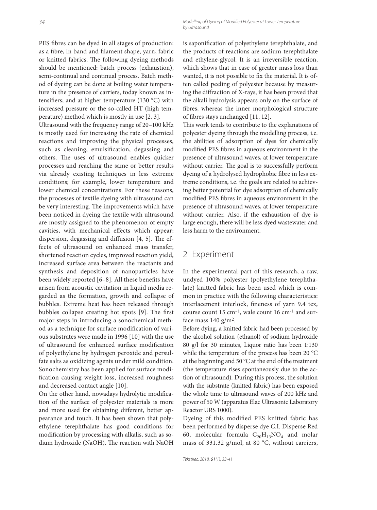PES fibres can be dyed in all stages of production: as a fibre, in band and filament shape, yarn, fabric or knitted fabrics. The following dyeing methods should be mentioned: batch process (exhaustion), semi-continual and continual process. Batch method of dyeing can be done at boiling water temperature in the presence of carriers, today known as intensifiers; and at higher temperature (130 °C) with increased pressure or the so-called HT (high temperature) method which is mostly in use [2, 3].

Ultrasound with the frequency range of 20–100 kHz is mostly used for increasing the rate of chemical reactions and improving the physical processes, such as cleaning, emulsification, degassing and others. The uses of ultrasound enables quicker processes and reaching the same or better results via already existing techniques in less extreme conditions; for example, lower temperature and lower chemical concentrations. For these reasons, the processes of textile dyeing with ultrasound can be very interesting. The improvements which have been noticed in dyeing the textile with ultrasound are mostly assigned to the phenomenon of empty cavities, with mechanical effects which appear: dispersion, degassing and diffusion  $[4, 5]$ . The effects of ultrasound on enhanced mass transfer, shortened reaction cycles, improved reaction yield, increased surface area between the reactants and synthesis and deposition of nanoparticles have been widely reported  $[6-8]$ . All these benefits have arisen from acoustic cavitation in liquid media regarded as the formation, growth and collapse of bubbles. Extreme heat has been released through bubbles collapse creating hot spots [9]. The first major steps in introducing a sonochemical method as a technique for surface modification of various substrates were made in 1996 [10] with the use of ultrasound for enhanced surface modification of polyethylene by hydrogen peroxide and persulfate salts as oxidizing agents under mild condition. Sonochemistry has been applied for surface modification causing weight loss, increased roughness and decreased contact angle [10].

On the other hand, nowadays hydrolytic modification of the surface of polyester materials is more and more used for obtaining different, better appearance and touch. It has been shown that polyethylene terephthalate has good conditions for modification by processing with alkalis, such as sodium hydroxide (NaOH). The reaction with NaOH

is saponification of polyethylene terephthalate, and the products of reactions are sodium-terephthalate and ethylene-glycol. It is an irreversible reaction, which shows that in case of greater mass loss than wanted, it is not possible to fix the material. It is often called peeling of polyester because by measuring the diffraction of X-rays, it has been proved that the alkali hydrolysis appears only on the surface of fibres, whereas the inner morphological structure of fibres stays unchanged [11, 12].

This work tends to contribute to the explanations of polyester dyeing through the modelling process, i.e. the abilities of adsorption of dyes for chemically modified PES fibres in aqueous environment in the presence of ultrasound waves, at lower temperature without carrier. The goal is to successfully perform dyeing of a hydrolysed hydrophobic fibre in less extreme conditions, i.e. the goals are related to achieving better potential for dye adsorption of chemically modified PES fibres in aqueous environment in the presence of ultrasound waves, at lower temperature without carrier. Also, if the exhaustion of dye is large enough, there will be less dyed wastewater and less harm to the environment.

## 2 Experiment

In the experimental part of this research, a raw, undyed 100% polyester (polyethylene terephthalate) knitted fabric has been used which is common in practice with the following characteristics: interlacement interlock, fineness of yarn 9.4 tex, course count  $15 \text{ cm}^{-1}$ , wale count  $16 \text{ cm}^{-1}$  and surface mass  $140$  g/m<sup>2</sup>.

Before dying, a knitted fabric had been processed by the alcohol solution (ethanol) of sodium hydroxide 80 g/l for 30 minutes, Liquor ratio has been 1:130 while the temperature of the process has been 20 °C at the beginning and 50 °C at the end of the treatment (the temperature rises spontaneously due to the action of ultrasound). During this process, the solution with the substrate (knitted fabric) has been exposed the whole time to ultrasound waves of 200 kHz and power of 50 W (apparatus Elac Ultrasonic Laboratory Reactor URS 1000).

Dyeing of this modified PES knitted fabric has been performed by disperse dye C.I. Disperse Red 60, molecular formula  $C_{20}H_{13}NO_4$  and molar mass of 331.32 g/mol, at 80 °C, without carriers,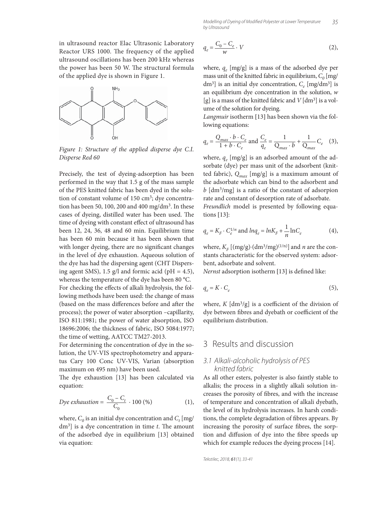in ultrasound reactor Elac Ultrasonic Laboratory Reactor URS 1000. The frequency of the applied ultrasound oscillations has been 200 kHz whereas the power has been 50 W. The structural formula of the applied dye is shown in Figure 1.



*Figure 1: Structure of the applied disperse dye C.I. Disperse Red 60*

Precisely, the test of dyeing-adsorption has been performed in the way that 1.5 g of the mass sample of the PES knitted fabric has been dyed in the solution of constant volume of 150  $\text{cm}^3$ ; dye concentration has been 50, 100, 200 and 400 mg/dm<sup>3</sup>. In these cases of dyeing, distilled water has been used. The time of dyeing with constant effect of ultrasound has been 12, 24, 36, 48 and 60 min. Equilibrium time has been 60 min because it has been shown that with longer dyeing, there are no significant changes in the level of dye exhaustion. Aqueous solution of the dye has had the dispersing agent (CHT Dispersing agent SMS), 1.5 g/l and formic acid ( $pH = 4.5$ ), whereas the temperature of the dye has been 80 °C. For checking the effects of alkali hydrolysis, the following methods have been used: the change of mass (based on the mass differences before and after the process); the power of water absorption –capillarity, ISO 811:1981; the power of water absorption, ISO 18696:2006; the thickness of fabric, ISO 5084:1977; the time of wetting, AATCC TM27-2013.

For determining the concentration of dye in the solution, the UV-VIS spectrophotometry and apparatus Cary 100 Conc UV-VIS, Varian (absorption maximum on 495 nm) have been used.

The dye exhaustion [13] has been calculated via equation:

$$
Dye \;exhaustion = \frac{C_0 - C_t}{C_0} \cdot 100 \; (%) \tag{1}
$$

where,  $C_0$  is an initial dye concentration and  $C_t$  [mg/ dm<sup>3</sup>] is a dye concentration in time *t*. The amount of the adsorbed dye in equilibrium [13] obtained via equation:

$$
q_e = \frac{C_0 - C_e}{w} \cdot V \tag{2},
$$

where,  $q_e$  [mg/g] is a mass of the adsorbed dye per mass unit of the knitted fabric in equilibrium,  $C_0$  [mg/ dm<sup>3</sup>] is an initial dye concentration,  $C_e$  [mg/dm<sup>3</sup>] is an equilibrium dye concentration in the solution, *w* [g] is a mass of the knitted fabric and *V* [dm3] is a volume of the solution for dyeing.

*Langmuir* isotherm [13] has been shown via the following equations:

$$
q_e = \frac{Q_{max} \cdot b \cdot C_e}{1 + b \cdot C_e} \text{ and } \frac{C_e}{q_e} = \frac{1}{Q_{max} \cdot b} + \frac{1}{Q_{max}} C_e \quad (3),
$$

where,  $q_e$  [mg/g] is an adsorbed amount of the adsorbate (dye) per mass unit of the adsorbent (knitted fabric),  $Q_{max}$  [mg/g] is a maximum amount of the adsorbate which can bind to the adsorbent and *b* [dm3/mg] is a ratio of the constant of adsorpion rate and constant of desorption rate of adsorbate.

*Freundlich* model is presented by following equations [13]:

$$
q_e = K_F \cdot C_e^{1/n} \text{ and } ln q_e = ln K_F + \frac{1}{n} ln C_e \tag{4},
$$

where,  $K_F$  [(mg/g)⋅(dm<sup>3</sup>/mg)<sup>(1/n)</sup>] and *n* are the constants characteristic for the observed system: adsorbent, adsorbate and solvent.

*Nernst* adsorption isotherm [13] is defined like:

$$
q_e = K \cdot C_e \tag{5}
$$

where,  $K$  [dm<sup>3</sup>/g] is a coefficient of the division of dye between fibres and dyebath or coefficient of the equilibrium distribution.

#### 3 Results and discussion

#### 3.1 Alkali-alcoholic hydrolysis of PES knitted fabric

As all other esters, polyester is also faintly stable to alkalis; the process in a slightly alkali solution increases the porosity of fibres, and with the increase of temperature and concentration of alkali dyebath, the level of its hydrolysis increases. In harsh conditions, the complete degradation of fibres appears. By increasing the porosity of surface fibres, the sorption and diffusion of dye into the fibre speeds up which for example reduces the dyeing process [14].

Tekstilec, 2018, 61(1), 33-41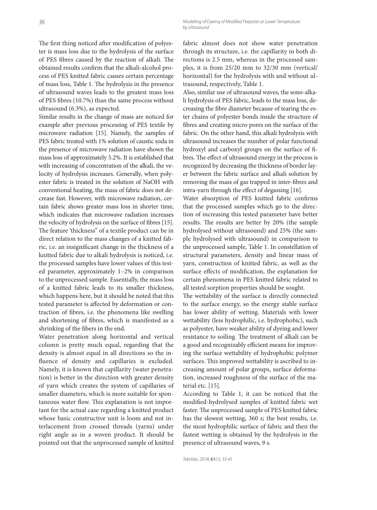The first thing noticed after modification of polyester is mass loss due to the hydrolysis of the surface of PES fibres caused by the reaction of alkali. The obtained results confirm that the alkali-alcohol process of PES knitted fabric causes certain percentage of mass loss, Table 1. The hydrolysis in the presence of ultrasound waves leads to the greatest mass loss of PES fibres (10.7%) than the same process without ultrasound (6.3%), as expected.

Similar results in the change of mass are noticed for example after previous processing of PES textile by microwave radiation [15]. Namely, the samples of PES fabric treated with 1% solution of caustic soda in the presence of microwave radiation have shown the mass loss of approximately 5.2%. It is established that with increasing of concentration of the alkali, the velocity of hydrolysis increases. Generally, when polyester fabric is treated in the solution of NaOH with conventional heating, the mass of fabric does not decrease fast. However, with microwave radiation, certain fabric shows greater mass loss in shorter time, which indicates that microwave radiation increases the velocity of hydrolysis on the surface of fibres [15]. The feature 'thickness" of a textile product can be in direct relation to the mass changes of a knitted fabric, i.e. an insignificant change in the thickness of a knitted fabric due to alkali hydrolysis is noticed, i.e. the processed samples have lower values of this tested parameter, approximately 1–2% in comparison to the unprocessed sample. Essentially, the mass loss of a knitted fabric leads to its smaller thickness, which happens here, but it should be noted that this tested parameter is affected by deformation or contraction of fibres, i.e. the phenomena like swelling and shortening of fibres, which is manifested as a shrinking of the fibers in the end.

Water penetration along horizontal and vertical column is pretty much equal, regarding that the density is almost equal in all directions so the influence of density and capillaries is excluded. Namely, it is known that capillarity (water penetration) is better in the direction with greater density of yarn which creates the system of capillaries of smaller diameters, which is more suitable for spontaneous water flow. This explanation is not important for the actual case regarding a knitted product whose basic constructive unit is loom and not interlacement from crossed threads (yarns) under right angle as in a woven product. It should be pointed out that the unprocessed sample of knitted fabric almost does not show water penetration through its structure, i.e. the capillarity in both directions is 2.5 mm, whereas in the processed samples, it is from 25/20 mm to 32/30 mm (vertical/ horizontal) for the hydrolysis with and without ultrasound, respectively, Table 1.

Also, similar use of ultrasound waves, the sono-alkali hydrolysis of PES fabric, leads to the mass loss, decreasing the fibre diameter because of tearing the ester chains of polyester bonds inside the structure of fibres and creating micro pores on the surface of the fabric. On the other hand, this alkali hydrolysis with ultrasound increases the number of polar functional hydroxyl and carboxyl groups on the surface of fibres. The effect of ultrasound energy in the process is recognized by decreasing the thickness of border layer between the fabric surface and alkali solution by removing the mass of gas trapped in inter-fibres and intra-yarn through the effect of degassing [16].

Water absorption of PES knitted fabric confirms that the processed samples which go to the direction of increasing this tested parameter have better results. The results are better by 20% (the sample hydrolysed without ultrasound) and 25% (the sample hydrolysed with ultrasound) in comparison to the unprocessed sample, Table 1. In constellation of structural parameters, density and linear mass of yarn, construction of knitted fabric, as well as the surface effects of modification, the explanation for certain phenomena in PES knitted fabric related to all tested sorption properties should be sought.

The wettability of the surface is directly connected to the surface energy, so the energy stable surface has lower ability of wetting. Materials with lower wettability (less hydrophilic, i.e. hydrophobic), such as polyester, have weaker ability of dyeing and lower resistance to soiling. The treatment of alkali can be a good and recognizably efficient means for improving the surface wettability of hydrophobic polymer surfaces. This improved wettability is ascribed to increasing amount of polar groups, surface deformation, increased roughness of the surface of the material etc. [15].

According to Table 1, it can be noticed that the modified-hydrolysed samples of knitted fabric wet faster. The unprocessed sample of PES knitted fabric has the slowest wetting, 360 s; the best results, i.e. the most hydrophilic surface of fabric and then the fastest wetting is obtained by the hydrolysis in the presence of ultrasound waves, 9 s.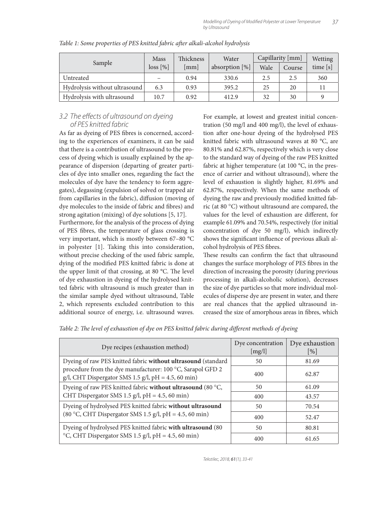| Sample                        | <b>Mass</b> | <b>Thickness</b> | Water             | Capillarity [mm] |        | <b>Wetting</b> |
|-------------------------------|-------------|------------------|-------------------|------------------|--------|----------------|
|                               | $loss [\%]$ | [mm]             | absorption $[\%]$ | Wale             | Course | time $[s]$     |
| Untreated                     |             | 0.94             | 330.6             | 2.5              | 2.5    | 360            |
| Hydrolysis without ultrasound | 6.3         | 0.93             | 395.2             | 25               | 20     |                |
| Hydrolysis with ultrasound    | 10.7        | 0.92             | 412.9             | 32               | 30     |                |

*Table 1: Some properties of PES knitted fabric after alkali-alcohol hydrolysis* 

#### 3.2 The effects of ultrasound on dyeing of PES knitted fabric

As far as dyeing of PES fibres is concerned, according to the experiences of examiners, it can be said that there is a contribution of ultrasound to the process of dyeing which is usually explained by the appearance of dispersion (departing of greater particles of dye into smaller ones, regarding the fact the molecules of dye have the tendency to form aggregates), degassing (expulsion of solved or trapped air from capillaries in the fabric), diffusion (moving of dye molecules to the inside of fabric and fibres) and strong agitation (mixing) of dye solutions [5, 17]. Furthermore, for the analysis of the process of dying of PES fibres, the temperature of glass crossing is very important, which is mostly between 67–80 °C in polyester [1]. Taking this into consideration, without precise checking of the used fabric sample, dying of the modified PES knitted fabric is done at the upper limit of that crossing, at 80 °C. The level of dye exhaustion in dyeing of the hydrolysed knitted fabric with ultrasound is much greater than in the similar sample dyed without ultrasound, Table 2, which represents excluded contribution to this additional source of energy, i.e. ultrasound waves.

For example, at lowest and greatest initial concentration (50 mg/l and 400 mg/l), the level of exhaustion after one-hour dyeing of the hydrolysed PES knitted fabric with ultrasound waves at 80 °C, are 80.81% and 62.87%, respectively which is very close to the standard way of dyeing of the raw PES knitted fabric at higher temperature (at 100 °C, in the presence of carrier and without ultrasound), where the level of exhaustion is slightly higher, 81.69% and 62.87%, respectively. When the same methods of dyeing the raw and previously modified knitted fabric (at 80 °C) without ultrasound are compared, the values for the level of exhaustion are different, for example 61.09% and 70.54%, respectively (for initial concentration of dye 50 mg/l), which indirectly shows the significant influence of previous alkali alcohol hydrolysis of PES fibres.

These results can confirm the fact that ultrasound changes the surface morphology of PES fibres in the direction of increasing the porosity (during previous processing in alkali-alcoholic solution), decreases the size of dye particles so that more individual molecules of disperse dye are present in water, and there are real chances that the applied ultrasound increased the size of amorphous areas in fibres, which

| Table 2: The level of exhaustion of dye on PES knitted fabric during different methods of dyeing |  |  |
|--------------------------------------------------------------------------------------------------|--|--|
|--------------------------------------------------------------------------------------------------|--|--|

| Dye recipes (exhaustion method)                                                                                   | Dye concentration<br>[mg/l] | Dye exhaustion<br>$\lceil \% \rceil$ |  |
|-------------------------------------------------------------------------------------------------------------------|-----------------------------|--------------------------------------|--|
| Dyeing of raw PES knitted fabric without ultrasound (standard                                                     | 50                          | 81.69                                |  |
| procedure from the dye manufacturer: 100 °C, Sarapol GFD 2<br>g/l, CHT Dispergator SMS 1.5 g/l, pH = 4.5, 60 min) | 400                         | 62.87                                |  |
| Dyeing of raw PES knitted fabric without ultrasound (80 °C,                                                       | 50                          | 61.09                                |  |
| CHT Dispergator SMS 1.5 $g/l$ , pH = 4.5, 60 min)                                                                 | 400                         | 43.57                                |  |
| Dyeing of hydrolysed PES knitted fabric without ultrasound                                                        | 50                          | 70.54                                |  |
| (80 °C, CHT Dispergator SMS 1.5 g/l, pH = 4.5, 60 min)                                                            | 400                         | 52.47                                |  |
| Dyeing of hydrolysed PES knitted fabric with ultrasound (80                                                       | 50                          | 80.81                                |  |
| °C, CHT Dispergator SMS 1.5 g/l, pH = 4.5, 60 min)                                                                | 400                         | 61.65                                |  |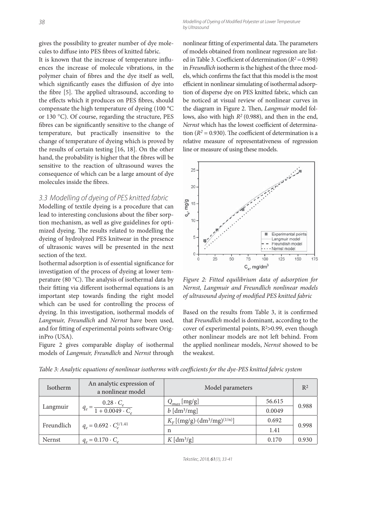gives the possibility to greater number of dye molecules to diffuse into PES fibres of knitted fabric.

It is known that the increase of temperature influences the increase of molecule vibrations, in the polymer chain of fibres and the dye itself as well, which significantly eases the diffusion of dye into the fibre [5]. The applied ultrasound, according to the effects which it produces on PES fibres, should compensate the high temperature of dyeing (100 °C or 130 °C). Of course, regarding the structure, PES fibres can be significantly sensitive to the change of temperature, but practically insensitive to the change of temperature of dyeing which is proved by the results of certain testing [16, 18]. On the other hand, the probability is higher that the fibres will be sensitive to the reaction of ultrasound waves the consequence of which can be a large amount of dye molecules inside the fibres.

#### 3.3 Modelling of dyeing of PES knitted fabric

Modelling of textile dyeing is a procedure that can lead to interesting conclusions about the fiber sorption mechanism, as well as give guidelines for optimized dyeing. The results related to modelling the dyeing of hydrolyzed PES knitwear in the presence of ultrasonic waves will be presented in the next section of the text.

Isothermal adsorption is of essential significance for investigation of the process of dyeing at lower temperature (80 $^{\circ}$ C). The analysis of isothermal data by their fitting via different isothermal equations is an important step towards finding the right model which can be used for controlling the process of dyeing. In this investigation, isothermal models of *Langmuir, Freundlich* and *Nernst* have been used, and for fitting of experimental points software OriginPro (USA).

Figure 2 gives comparable display of isothermal models of *Langmuir, Freundlich* and *Nernst* through nonlinear fitting of experimental data. The parameters of models obtained from nonlinear regression are listed in Table 3. Coefficient of determination  $(R^2 = 0.998)$ in *Freundlich* isotherm is the highest of the three models, which confirms the fact that this model is the most efficient in nonlinear simulating of isothermal adsorption of disperse dye on PES knitted fabric, which can be noticed at visual review of nonlinear curves in the diagram in Figure 2. Then, *Langmuir* model follows, also with high *R2* (0.988), and then in the end, *Nernst* which has the lowest coefficient of determination ( $R^2$  = 0.930). The coefficient of determination is a relative measure of representativeness of regression line or measure of using these models.



*Figure 2: Fitted equilibrium data of adsorption for Nernst, Langmuir and Freundlich nonlinear models*  of ultrasound dyeing of modified PES knitted fabric

Based on the results from Table 3, it is confirmed that *Freundlich* model is dominant, according to the cover of experimental points,  $R^2 > 0.99$ , even though other nonlinear models are not left behind. From the applied nonlinear models, *Nernst* showed to be the weakest.

| Isotherm   | An analytic expression of<br>a nonlinear model      | Model parameters                     |        | $R^2$ |
|------------|-----------------------------------------------------|--------------------------------------|--------|-------|
| Langmuir   | $q_e = \frac{0.28 \cdot C_e}{1 + 0.0049 \cdot C_e}$ | $Q_{max}$ [mg/g]                     | 56.615 | 0.988 |
|            |                                                     | $b$ [dm <sup>3</sup> /mg]            | 0.0049 |       |
| Freundlich | $q_e = 0.692 \cdot C_{e}^{1/1.41}$                  | $K_F[(mg/g)\cdot (dm^3/mg)^{(1/n)}]$ | 0.692  | 0.998 |
|            |                                                     | n                                    | 1.41   |       |
| Nernst     | $q_e = 0.170 \cdot C_e$                             | $K \text{[dm}^3\text{/g]}$           | 0.170  | 0.930 |

*Table 3: Analytic equations of nonlinear isotherms with coeffi cients for the dye-PES knitted fabric system*

Tekstilec, 2018, 61(1), 33-41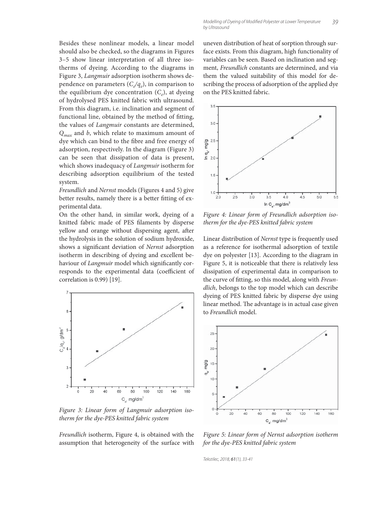Besides these nonlinear models, a linear model should also be checked, so the diagrams in Figures 3–5 show linear interpretation of all three isotherms of dyeing. According to the diagrams in Figure 3, *Langmuir* adsorption isotherm shows dependence on parameters  $(C_{\ell}/q_e)$ , in comparison to the equilibrium dye concentration  $(C_e)$ , at dyeing of hydrolysed PES knitted fabric with ultrasound. From this diagram, i.e. inclination and segment of functional line, obtained by the method of fitting, the values of *Langmuir* constants are determined, *Qmax* and *b*, which relate to maximum amount of dye which can bind to the fibre and free energy of adsorption, respectively. In the diagram (Figure 3) can be seen that dissipation of data is present, which shows inadequacy of *Langmuir* isotherm for describing adsorption equilibrium of the tested system.

*Freundlich* and *Nernst* models (Figures 4 and 5) give better results, namely there is a better fitting of experimental data.

On the other hand, in similar work, dyeing of a knitted fabric made of PES filaments by disperse yellow and orange without dispersing agent, after the hydrolysis in the solution of sodium hydroxide, shows a significant deviation of *Nernst* adsorption isotherm in describing of dyeing and excellent behaviour of *Langmuir* model which significantly corresponds to the experimental data (coefficient of correlation is 0.99) [19].



*Figure 3: Linear form of Langmuir adsorption isotherm for the dye-PES knitted fabric system*

*Freundlich* isotherm, Figure 4, is obtained with the assumption that heterogeneity of the surface with uneven distribution of heat of sorption through surface exists. From this diagram, high functionality of variables can be seen. Based on inclination and segment, *Freundlich* constants are determined, and via them the valued suitability of this model for describing the process of adsorption of the applied dye on the PES knitted fabric.



*Figure 4: Linear form of Freundlich adsorption isotherm for the dye-PES knitted fabric system*

Linear distribution of *Nernst* type is frequently used as a reference for isothermal adsorption of textile dye on polyester [13]. According to the diagram in Figure 5, it is noticeable that there is relatively less dissipation of experimental data in comparison to the curve of fitting, so this model, along with *Freundlich*, belongs to the top model which can describe dyeing of PES knitted fabric by disperse dye using linear method. The advantage is in actual case given to *Freundlich* model.



*Figure 5: Linear form of Nernst adsorption isotherm for the dye-PES knitted fabric system*

Tekstilec, 2018, 61(1), 33-41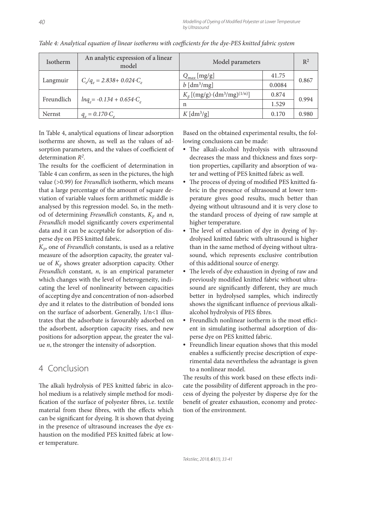| <b>Isotherm</b> | An analytic expression of a linear<br>model | Model parameters                     |        | $R^2$ |
|-----------------|---------------------------------------------|--------------------------------------|--------|-------|
| Langmuir        | $C/q_e = 2.838 + 0.024 \cdot C_e$           | $Q_{max}$ [mg/g]                     | 41.75  | 0.867 |
|                 |                                             | $b$ [dm <sup>3</sup> /mg]            | 0.0084 |       |
| Freundlich      | $lnq_e = -0.134 + 0.654 \cdot C_e$          | $K_F[(mg/g)\cdot (dm^3/mg)^{(1/n)}]$ | 0.874  | 0.994 |
|                 |                                             | n                                    | 1.529  |       |
| Nernst          | $q_e = 0.170 \cdot C_e$                     | $K \left[ \frac{dm^3}{g} \right]$    | 0.170  | 0.980 |

*Table 4: Analytical equation of linear isotherms with coefficients for the dye-PES knitted fabric system* 

In Table 4, analytical equations of linear adsorption isotherms are shown, as well as the values of adsorption parameters, and the values of coefficient of determination *R2*.

The results for the coefficient of determination in Table 4 can confirm, as seen in the pictures, the high value (>0.99) for *Freundlich* isotherm, which means that a large percentage of the amount of square deviation of variable values form arithmetic middle is analysed by this regression model. So, in the method of determining *Freundlich* constants,  $K_F$  and *n*, Freundlich model significantly covers experimental data and it can be acceptable for adsorption of disperse dye on PES knitted fabric.

 $K_F$ , one of *Freundlich* constants, is used as a relative measure of the adsorption capacity, the greater value of  $K<sub>F</sub>$  shows greater adsorption capacity. Other *Freundlich* constant, *n*, is an empirical parameter which changes with the level of heterogeneity, indicating the level of nonlinearity between capacities of accepting dye and concentration of non-adsorbed dye and it relates to the distribution of bonded ions on the surface of adsorbent. Generally, 1/n<1 illustrates that the adsorbate is favourably adsorbed on the adsorbent, adsorption capacity rises, and new positions for adsorption appear, the greater the value *n*, the stronger the intensity of adsorption.

## 4 Conclusion

The alkali hydrolysis of PES knitted fabric in alcohol medium is a relatively simple method for modification of the surface of polyester fibres, i.e. textile material from these fibres, with the effects which can be significant for dyeing. It is shown that dyeing in the presence of ultrasound increases the dye exhaustion on the modified PES knitted fabric at lower temperature.

Based on the obtained experimental results, the following conclusions can be made:

- The alkali-alcohol hydrolysis with ultrasound decreases the mass and thickness and fixes sorption properties, capillarity and absorption of water and wetting of PES knitted fabric as well.
- The process of dyeing of modified PES knitted fabric in the presence of ultrasound at lower temperature gives good results, much better than dyeing without ultrasound and it is very close to the standard process of dyeing of raw sample at higher temperature.
- The level of exhaustion of dye in dyeing of hydrolysed knitted fabric with ultrasound is higher than in the same method of dyeing without ultrasound, which represents exclusive contribution of this additional source of energy.
- The levels of dye exhaustion in dyeing of raw and previously modified knitted fabric without ultrasound are significantly different, they are much better in hydrolysed samples, which indirectly shows the significant influence of previous alkalialcohol hydrolysis of PES fibres.
- Freundlich nonlinear isotherm is the most efficient in simulating isothermal adsorption of disperse dye on PES knitted fabric.
- Freundlich linear equation shows that this model enables a sufficiently precise description of experimental data nevertheless the advantage is given to a nonlinear model.

The results of this work based on these effects indicate the possibility of different approach in the process of dyeing the polyester by disperse dye for the benefit of greater exhaustion, economy and protection of the environment.